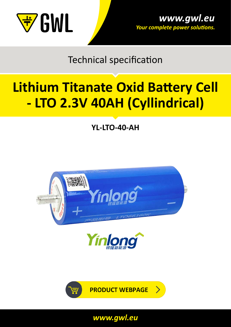

Technical specification

# **[Lithium Titanate Oxid Battery Cell](https://shop.gwl.eu/_d7522.html)  [- LTO 2.3V 40AH \(Cyllindrical\)](https://shop.gwl.eu/_d7522.html)**

**YL-LTO-40-AH**





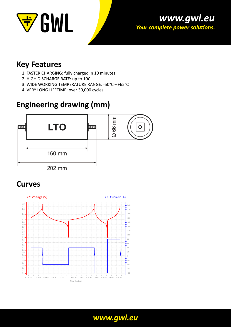



#### **Key Features**

- 1. FASTER CHARGING: fully charged in 10 minutes
- 2. HIGH DISCHARGE RATE: up to 10C
- 3. WIDE WORKING TEMPERATURE RANGE: -50°C ~ +65°C
- 4. VERY LONG LIFETIME: over 30,000 cycles

## **Engineering drawing (mm)**



## **Curves**

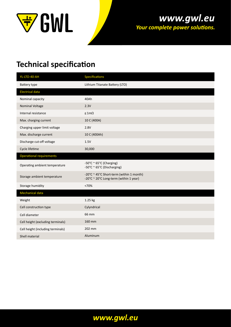

#### www.gwl.eu Your complete power solutions.

## **Technical specification**

| YL-LTO-40-AH                      | <b>Specifications</b>                                                              |
|-----------------------------------|------------------------------------------------------------------------------------|
| Battery type                      | Lithium Titanate Battery (LTO)                                                     |
| <b>Electrical data</b>            |                                                                                    |
| Nominal capacity                  | 40Ah                                                                               |
| <b>Nominal Voltage</b>            | 2.3V                                                                               |
| Internal resistance               | $\leq 1m\Omega$                                                                    |
| Max. charging current             | 10 C (400A)                                                                        |
| Charging upper limit voltage      | 2.8V                                                                               |
| Max. discharge current            | 10 C (400Ah)                                                                       |
| Discharge cut-off voltage         | 1.5V                                                                               |
| Cycle lifetime                    | 30,000                                                                             |
| <b>Operational requirements</b>   |                                                                                    |
| Operating ambient temperature     | -50°C ~ 65°C (Charging)<br>-50°C ~ 65°C (Discharging)                              |
| Storage ambient temperature       | -20°C ~ 45°C Short-term (within 1 month)<br>-20°C ~ 20°C Long-term (within 1 year) |
| Storage humidity                  | <70%                                                                               |
| <b>Mechanical data</b>            |                                                                                    |
| Weight                            | 1.25 kg                                                                            |
| Cell construction type            | Cylyndrical                                                                        |
| Cell diameter                     | 66 mm                                                                              |
| Cell height (excluding terminals) | 160 mm                                                                             |
| Cell height (including terminals) | 202 mm                                                                             |
| Shell material                    | Aluminum                                                                           |